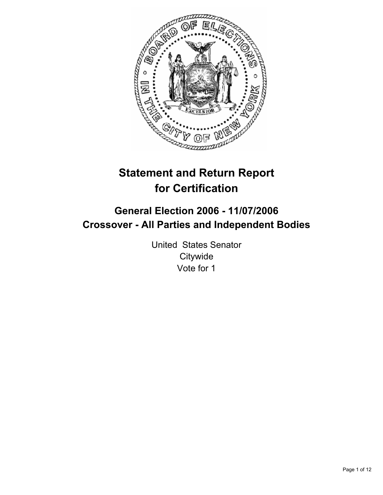

# **Statement and Return Report for Certification**

## **General Election 2006 - 11/07/2006 Crossover - All Parties and Independent Bodies**

United States Senator **Citywide** Vote for 1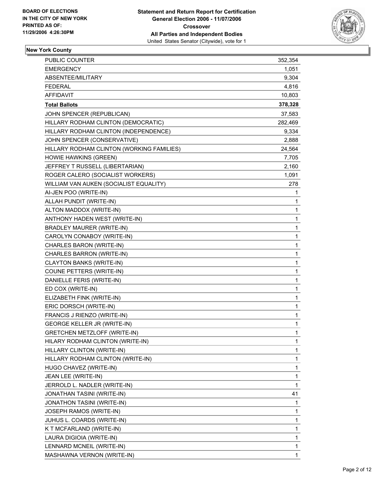

## **New York County**

| <b>PUBLIC COUNTER</b>                     | 352,354 |
|-------------------------------------------|---------|
| <b>EMERGENCY</b>                          | 1,051   |
| ABSENTEE/MILITARY                         | 9,304   |
| <b>FEDERAL</b>                            | 4,816   |
| <b>AFFIDAVIT</b>                          | 10,803  |
| <b>Total Ballots</b>                      | 378,328 |
| JOHN SPENCER (REPUBLICAN)                 | 37,583  |
| HILLARY RODHAM CLINTON (DEMOCRATIC)       | 282,469 |
| HILLARY RODHAM CLINTON (INDEPENDENCE)     | 9,334   |
| JOHN SPENCER (CONSERVATIVE)               | 2,888   |
| HILLARY RODHAM CLINTON (WORKING FAMILIES) | 24,564  |
| HOWIE HAWKINS (GREEN)                     | 7,705   |
| JEFFREY T RUSSELL (LIBERTARIAN)           | 2,160   |
| ROGER CALERO (SOCIALIST WORKERS)          | 1,091   |
| WILLIAM VAN AUKEN (SOCIALIST EQUALITY)    | 278     |
| AI-JEN POO (WRITE-IN)                     | 1       |
| ALLAH PUNDIT (WRITE-IN)                   | 1       |
| ALTON MADDOX (WRITE-IN)                   | 1       |
| ANTHONY HADEN WEST (WRITE-IN)             | 1       |
| <b>BRADLEY MAURER (WRITE-IN)</b>          | 1       |
| CAROLYN CONABOY (WRITE-IN)                | 1       |
| CHARLES BARON (WRITE-IN)                  | 1       |
| CHARLES BARRON (WRITE-IN)                 | 1       |
| <b>CLAYTON BANKS (WRITE-IN)</b>           | 1       |
| COUNE PETTERS (WRITE-IN)                  | 1       |
| DANIELLE FERIS (WRITE-IN)                 | 1       |
| ED COX (WRITE-IN)                         | 1       |
| ELIZABETH FINK (WRITE-IN)                 | 1       |
| ERIC DORSCH (WRITE-IN)                    | 1       |
| FRANCIS J RIENZO (WRITE-IN)               | 1       |
| <b>GEORGE KELLER JR (WRITE-IN)</b>        | 1       |
| <b>GRETCHEN METZLOFF (WRITE-IN)</b>       | 1       |
| HILARY RODHAM CLINTON (WRITE-IN)          | 1       |
| HILLARY CLINTON (WRITE-IN)                | 1       |
| HILLARY RODHAM CLINTON (WRITE-IN)         | 1       |
| HUGO CHAVEZ (WRITE-IN)                    | 1       |
| JEAN LEE (WRITE-IN)                       | 1       |
| JERROLD L. NADLER (WRITE-IN)              | 1       |
| JONATHAN TASINI (WRITE-IN)                | 41      |
| JONATHON TASINI (WRITE-IN)                | 1       |
| JOSEPH RAMOS (WRITE-IN)                   | 1       |
| JUHUS L. COARDS (WRITE-IN)                | 1       |
| K T MCFARLAND (WRITE-IN)                  | 1       |
| LAURA DIGIOIA (WRITE-IN)                  | 1       |
| LENNARD MCNEIL (WRITE-IN)                 | 1       |
| MASHAWNA VERNON (WRITE-IN)                | 1       |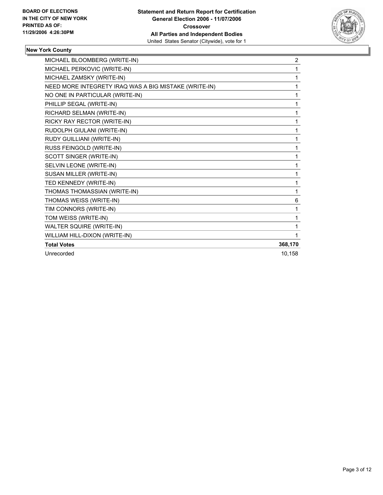

## **New York County**

| MICHAEL BLOOMBERG (WRITE-IN)                          | 2       |
|-------------------------------------------------------|---------|
| MICHAEL PERKOVIC (WRITE-IN)                           |         |
| MICHAEL ZAMSKY (WRITE-IN)                             |         |
| NEED MORE INTEGRETY IRAQ WAS A BIG MISTAKE (WRITE-IN) |         |
| NO ONE IN PARTICULAR (WRITE-IN)                       |         |
| PHILLIP SEGAL (WRITE-IN)                              |         |
| RICHARD SELMAN (WRITE-IN)                             |         |
| RICKY RAY RECTOR (WRITE-IN)                           |         |
| RUDOLPH GIULANI (WRITE-IN)                            |         |
| RUDY GUILLIANI (WRITE-IN)                             |         |
| RUSS FEINGOLD (WRITE-IN)                              |         |
| SCOTT SINGER (WRITE-IN)                               |         |
| SELVIN LEONE (WRITE-IN)                               |         |
| SUSAN MILLER (WRITE-IN)                               |         |
| TED KENNEDY (WRITE-IN)                                |         |
| THOMAS THOMASSIAN (WRITE-IN)                          | 1       |
| THOMAS WEISS (WRITE-IN)                               | 6       |
| TIM CONNORS (WRITE-IN)                                |         |
| TOM WEISS (WRITE-IN)                                  |         |
| WALTER SQUIRE (WRITE-IN)                              |         |
| WILLIAM HILL-DIXON (WRITE-IN)                         |         |
| <b>Total Votes</b>                                    | 368,170 |
| Unrecorded                                            | 10.158  |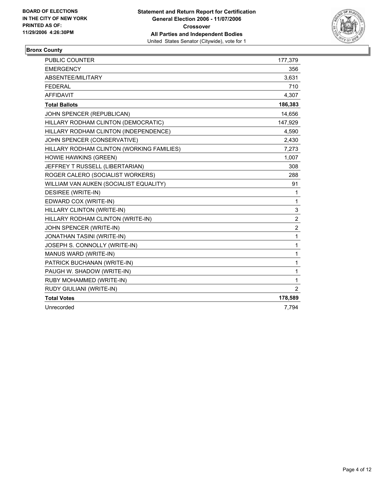

## **Bronx County**

| PUBLIC COUNTER                            | 177,379        |
|-------------------------------------------|----------------|
| <b>EMERGENCY</b>                          | 356            |
| ABSENTEE/MILITARY                         | 3,631          |
| <b>FEDERAL</b>                            | 710            |
| <b>AFFIDAVIT</b>                          | 4,307          |
| <b>Total Ballots</b>                      | 186,383        |
| JOHN SPENCER (REPUBLICAN)                 | 14,656         |
| HILLARY RODHAM CLINTON (DEMOCRATIC)       | 147,929        |
| HILLARY RODHAM CLINTON (INDEPENDENCE)     | 4,590          |
| JOHN SPENCER (CONSERVATIVE)               | 2,430          |
| HILLARY RODHAM CLINTON (WORKING FAMILIES) | 7,273          |
| HOWIE HAWKINS (GREEN)                     | 1,007          |
| JEFFREY T RUSSELL (LIBERTARIAN)           | 308            |
| ROGER CALERO (SOCIALIST WORKERS)          | 288            |
| WILLIAM VAN AUKEN (SOCIALIST EQUALITY)    | 91             |
| DESIREE (WRITE-IN)                        | 1              |
| EDWARD COX (WRITE-IN)                     | 1              |
| HILLARY CLINTON (WRITE-IN)                | 3              |
| HILLARY RODHAM CLINTON (WRITE-IN)         | $\overline{c}$ |
| JOHN SPENCER (WRITE-IN)                   | $\overline{2}$ |
| JONATHAN TASINI (WRITE-IN)                | $\mathbf{1}$   |
| JOSEPH S. CONNOLLY (WRITE-IN)             | 1              |
| MANUS WARD (WRITE-IN)                     | 1              |
| PATRICK BUCHANAN (WRITE-IN)               | 1              |
| PAUGH W. SHADOW (WRITE-IN)                | 1              |
| RUBY MOHAMMED (WRITE-IN)                  | 1              |
| RUDY GIULIANI (WRITE-IN)                  | $\overline{2}$ |
| <b>Total Votes</b>                        | 178,589        |
| Unrecorded                                | 7,794          |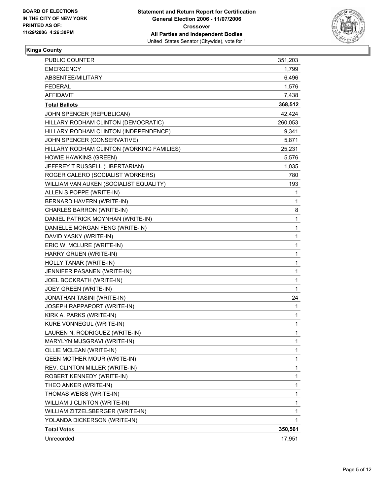

### **Kings County**

| <b>PUBLIC COUNTER</b>                     | 351,203 |
|-------------------------------------------|---------|
| <b>EMERGENCY</b>                          | 1,799   |
| ABSENTEE/MILITARY                         | 6,496   |
| <b>FEDERAL</b>                            | 1,576   |
| <b>AFFIDAVIT</b>                          | 7,438   |
| <b>Total Ballots</b>                      | 368,512 |
| JOHN SPENCER (REPUBLICAN)                 | 42,424  |
| HILLARY RODHAM CLINTON (DEMOCRATIC)       | 260,053 |
| HILLARY RODHAM CLINTON (INDEPENDENCE)     | 9,341   |
| JOHN SPENCER (CONSERVATIVE)               | 5,871   |
| HILLARY RODHAM CLINTON (WORKING FAMILIES) | 25,231  |
| HOWIE HAWKINS (GREEN)                     | 5,576   |
| JEFFREY T RUSSELL (LIBERTARIAN)           | 1,035   |
| ROGER CALERO (SOCIALIST WORKERS)          | 780     |
| WILLIAM VAN AUKEN (SOCIALIST EQUALITY)    | 193     |
| ALLEN S POPPE (WRITE-IN)                  | 1       |
| BERNARD HAVERN (WRITE-IN)                 | 1       |
| CHARLES BARRON (WRITE-IN)                 | 8       |
| DANIEL PATRICK MOYNHAN (WRITE-IN)         | 1       |
| DANIELLE MORGAN FENG (WRITE-IN)           | 1       |
| DAVID YASKY (WRITE-IN)                    | 1       |
| ERIC W. MCLURE (WRITE-IN)                 | 1       |
| HARRY GRUEN (WRITE-IN)                    | 1       |
| HOLLY TANAR (WRITE-IN)                    | 1       |
| JENNIFER PASANEN (WRITE-IN)               | 1       |
| JOEL BOCKRATH (WRITE-IN)                  | 1       |
| JOEY GREEN (WRITE-IN)                     | 1       |
| JONATHAN TASINI (WRITE-IN)                | 24      |
| JOSEPH RAPPAPORT (WRITE-IN)               | 1       |
| KIRK A. PARKS (WRITE-IN)                  | 1       |
| <b>KURE VONNEGUL (WRITE-IN)</b>           | 1       |
| LAUREN N. RODRIGUEZ (WRITE-IN)            | 1       |
| MARYLYN MUSGRAVI (WRITE-IN)               | 1       |
| OLLIE MCLEAN (WRITE-IN)                   | 1       |
| <b>QEEN MOTHER MOUR (WRITE-IN)</b>        | 1       |
| REV. CLINTON MILLER (WRITE-IN)            | 1       |
| ROBERT KENNEDY (WRITE-IN)                 | 1       |
| THEO ANKER (WRITE-IN)                     | 1       |
| THOMAS WEISS (WRITE-IN)                   | 1       |
| WILLIAM J CLINTON (WRITE-IN)              | 1       |
| WILLIAM ZITZELSBERGER (WRITE-IN)          | 1       |
| YOLANDA DICKERSON (WRITE-IN)              | 1       |
| <b>Total Votes</b>                        | 350,561 |
| Unrecorded                                | 17,951  |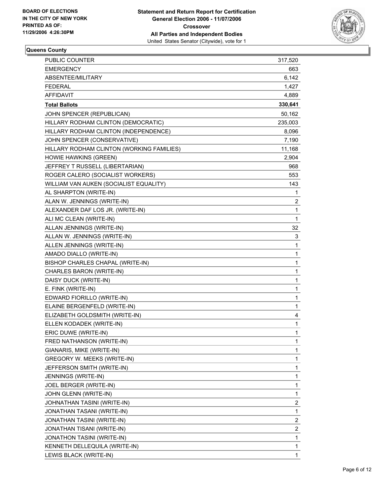

## **Queens County**

| PUBLIC COUNTER                            | 317,520                 |
|-------------------------------------------|-------------------------|
| <b>EMERGENCY</b>                          | 663                     |
| ABSENTEE/MILITARY                         | 6,142                   |
| <b>FEDERAL</b>                            | 1,427                   |
| <b>AFFIDAVIT</b>                          | 4,889                   |
| <b>Total Ballots</b>                      | 330,641                 |
| JOHN SPENCER (REPUBLICAN)                 | 50,162                  |
| HILLARY RODHAM CLINTON (DEMOCRATIC)       | 235,003                 |
| HILLARY RODHAM CLINTON (INDEPENDENCE)     | 8,096                   |
| JOHN SPENCER (CONSERVATIVE)               | 7,190                   |
| HILLARY RODHAM CLINTON (WORKING FAMILIES) | 11,168                  |
| HOWIE HAWKINS (GREEN)                     | 2,904                   |
| JEFFREY T RUSSELL (LIBERTARIAN)           | 968                     |
| ROGER CALERO (SOCIALIST WORKERS)          | 553                     |
| WILLIAM VAN AUKEN (SOCIALIST EQUALITY)    | 143                     |
| AL SHARPTON (WRITE-IN)                    | $\mathbf{1}$            |
| ALAN W. JENNINGS (WRITE-IN)               | $\boldsymbol{2}$        |
| ALEXANDER DAF LOS JR. (WRITE-IN)          | 1                       |
| ALI MC CLEAN (WRITE-IN)                   | $\mathbf{1}$            |
| ALLAN JENNINGS (WRITE-IN)                 | 32                      |
| ALLAN W. JENNINGS (WRITE-IN)              | 3                       |
| ALLEN JENNINGS (WRITE-IN)                 | $\mathbf{1}$            |
| AMADO DIALLO (WRITE-IN)                   | 1                       |
| BISHOP CHARLES CHAPAL (WRITE-IN)          | 1                       |
| CHARLES BARON (WRITE-IN)                  | 1                       |
| DAISY DUCK (WRITE-IN)                     | 1                       |
| E. FINK (WRITE-IN)                        | 1                       |
| EDWARD FIORILLO (WRITE-IN)                | 1                       |
| ELAINE BERGENFELD (WRITE-IN)              | 1                       |
| ELIZABETH GOLDSMITH (WRITE-IN)            | 4                       |
| ELLEN KODADEK (WRITE-IN)                  | 1                       |
| ERIC DUWE (WRITE-IN)                      | 1                       |
| FRED NATHANSON (WRITE-IN)                 | 1                       |
| GIANARIS, MIKE (WRITE-IN)                 | 1                       |
| <b>GREGORY W. MEEKS (WRITE-IN)</b>        | 1                       |
| JEFFERSON SMITH (WRITE-IN)                | 1                       |
| JENNINGS (WRITE-IN)                       | 1                       |
| JOEL BERGER (WRITE-IN)                    | 1                       |
| JOHN GLENN (WRITE-IN)                     | 1                       |
| JOHNATHAN TASINI (WRITE-IN)               | $\overline{\mathbf{c}}$ |
| JONATHAN TASANI (WRITE-IN)                | 1                       |
| JONATHAN TASINI (WRITE-IN)                | $\overline{\mathbf{c}}$ |
| JONATHAN TISANI (WRITE-IN)                | $\overline{\mathbf{c}}$ |
| JONATHON TASINI (WRITE-IN)                | 1                       |
| KENNETH DELLEQUILA (WRITE-IN)             | 1                       |
| LEWIS BLACK (WRITE-IN)                    | 1                       |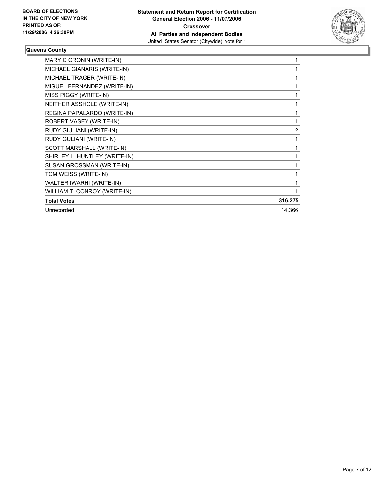

#### **Queens County**

| MARY C CRONIN (WRITE-IN)      |         |
|-------------------------------|---------|
| MICHAEL GIANARIS (WRITE-IN)   |         |
| MICHAEL TRAGER (WRITE-IN)     |         |
| MIGUEL FERNANDEZ (WRITE-IN)   |         |
| MISS PIGGY (WRITE-IN)         |         |
| NEITHER ASSHOLE (WRITE-IN)    |         |
| REGINA PAPALARDO (WRITE-IN)   |         |
| ROBERT VASEY (WRITE-IN)       |         |
| RUDY GIULIANI (WRITE-IN)      | 2       |
| RUDY GULIANI (WRITE-IN)       |         |
| SCOTT MARSHALL (WRITE-IN)     |         |
| SHIRLEY L. HUNTLEY (WRITE-IN) |         |
| SUSAN GROSSMAN (WRITE-IN)     |         |
| TOM WEISS (WRITE-IN)          |         |
| WALTER IWARHI (WRITE-IN)      |         |
| WILLIAM T. CONROY (WRITE-IN)  |         |
| <b>Total Votes</b>            | 316,275 |
| Unrecorded                    | 14,366  |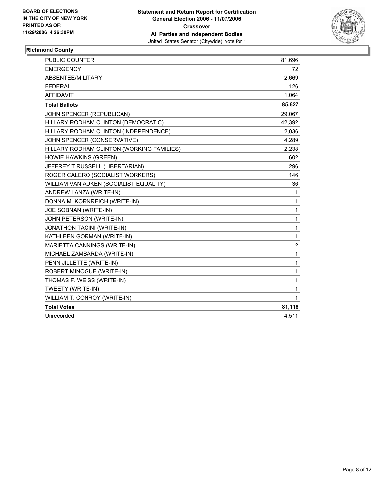

## **Richmond County**

| <b>PUBLIC COUNTER</b>                     | 81,696         |
|-------------------------------------------|----------------|
| <b>EMERGENCY</b>                          | 72             |
| ABSENTEE/MILITARY                         | 2,669          |
| <b>FEDERAL</b>                            | 126            |
| <b>AFFIDAVIT</b>                          | 1,064          |
| <b>Total Ballots</b>                      | 85,627         |
| JOHN SPENCER (REPUBLICAN)                 | 29.067         |
| HILLARY RODHAM CLINTON (DEMOCRATIC)       | 42,392         |
| HILLARY RODHAM CLINTON (INDEPENDENCE)     | 2,036          |
| JOHN SPENCER (CONSERVATIVE)               | 4,289          |
| HILLARY RODHAM CLINTON (WORKING FAMILIES) | 2,238          |
| HOWIE HAWKINS (GREEN)                     | 602            |
| JEFFREY T RUSSELL (LIBERTARIAN)           | 296            |
| ROGER CALERO (SOCIALIST WORKERS)          | 146            |
| WILLIAM VAN AUKEN (SOCIALIST EQUALITY)    | 36             |
| ANDREW LANZA (WRITE-IN)                   | 1              |
| DONNA M. KORNREICH (WRITE-IN)             | 1              |
| JOE SOBNAN (WRITE-IN)                     | 1              |
| JOHN PETERSON (WRITE-IN)                  | 1              |
| JONATHON TACINI (WRITE-IN)                | 1              |
| KATHLEEN GORMAN (WRITE-IN)                | $\mathbf{1}$   |
| MARIETTA CANNINGS (WRITE-IN)              | $\overline{c}$ |
| MICHAEL ZAMBARDA (WRITE-IN)               | 1              |
| PENN JILLETTE (WRITE-IN)                  | 1              |
| ROBERT MINOGUE (WRITE-IN)                 | 1              |
| THOMAS F. WEISS (WRITE-IN)                | 1              |
| TWEETY (WRITE-IN)                         | 1              |
| WILLIAM T. CONROY (WRITE-IN)              | 1              |
| <b>Total Votes</b>                        | 81,116         |
| Unrecorded                                | 4,511          |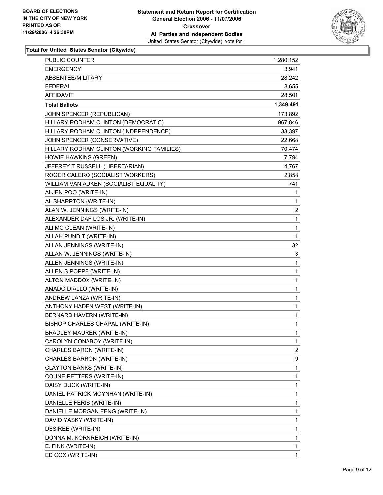

| <b>EMERGENCY</b><br>3,941<br>ABSENTEE/MILITARY<br>28,242<br><b>FEDERAL</b><br>8,655<br><b>AFFIDAVIT</b><br>28,501<br>1,349,491<br><b>Total Ballots</b><br>JOHN SPENCER (REPUBLICAN)<br>173,892<br>HILLARY RODHAM CLINTON (DEMOCRATIC)<br>967,846<br>HILLARY RODHAM CLINTON (INDEPENDENCE)<br>33,397<br>JOHN SPENCER (CONSERVATIVE)<br>22,668<br>HILLARY RODHAM CLINTON (WORKING FAMILIES)<br>70,474 |
|-----------------------------------------------------------------------------------------------------------------------------------------------------------------------------------------------------------------------------------------------------------------------------------------------------------------------------------------------------------------------------------------------------|
|                                                                                                                                                                                                                                                                                                                                                                                                     |
|                                                                                                                                                                                                                                                                                                                                                                                                     |
|                                                                                                                                                                                                                                                                                                                                                                                                     |
|                                                                                                                                                                                                                                                                                                                                                                                                     |
|                                                                                                                                                                                                                                                                                                                                                                                                     |
|                                                                                                                                                                                                                                                                                                                                                                                                     |
|                                                                                                                                                                                                                                                                                                                                                                                                     |
|                                                                                                                                                                                                                                                                                                                                                                                                     |
|                                                                                                                                                                                                                                                                                                                                                                                                     |
|                                                                                                                                                                                                                                                                                                                                                                                                     |
| HOWIE HAWKINS (GREEN)<br>17,794                                                                                                                                                                                                                                                                                                                                                                     |
| JEFFREY T RUSSELL (LIBERTARIAN)<br>4,767                                                                                                                                                                                                                                                                                                                                                            |
| ROGER CALERO (SOCIALIST WORKERS)<br>2,858                                                                                                                                                                                                                                                                                                                                                           |
| 741<br>WILLIAM VAN AUKEN (SOCIALIST EQUALITY)                                                                                                                                                                                                                                                                                                                                                       |
| AI-JEN POO (WRITE-IN)<br>$\mathbf 1$                                                                                                                                                                                                                                                                                                                                                                |
| AL SHARPTON (WRITE-IN)<br>1                                                                                                                                                                                                                                                                                                                                                                         |
| $\overline{\mathbf{c}}$<br>ALAN W. JENNINGS (WRITE-IN)                                                                                                                                                                                                                                                                                                                                              |
| ALEXANDER DAF LOS JR. (WRITE-IN)<br>$\mathbf{1}$                                                                                                                                                                                                                                                                                                                                                    |
| 1<br>ALI MC CLEAN (WRITE-IN)                                                                                                                                                                                                                                                                                                                                                                        |
| 1<br>ALLAH PUNDIT (WRITE-IN)                                                                                                                                                                                                                                                                                                                                                                        |
| ALLAN JENNINGS (WRITE-IN)<br>32                                                                                                                                                                                                                                                                                                                                                                     |
| 3<br>ALLAN W. JENNINGS (WRITE-IN)                                                                                                                                                                                                                                                                                                                                                                   |
| 1<br>ALLEN JENNINGS (WRITE-IN)                                                                                                                                                                                                                                                                                                                                                                      |
| ALLEN S POPPE (WRITE-IN)<br>$\mathbf{1}$                                                                                                                                                                                                                                                                                                                                                            |
| ALTON MADDOX (WRITE-IN)<br>1                                                                                                                                                                                                                                                                                                                                                                        |
| AMADO DIALLO (WRITE-IN)<br>1                                                                                                                                                                                                                                                                                                                                                                        |
| ANDREW LANZA (WRITE-IN)<br>$\mathbf{1}$                                                                                                                                                                                                                                                                                                                                                             |
| 1<br>ANTHONY HADEN WEST (WRITE-IN)                                                                                                                                                                                                                                                                                                                                                                  |
| BERNARD HAVERN (WRITE-IN)<br>1                                                                                                                                                                                                                                                                                                                                                                      |
| BISHOP CHARLES CHAPAL (WRITE-IN)<br>1                                                                                                                                                                                                                                                                                                                                                               |
| <b>BRADLEY MAURER (WRITE-IN)</b><br>1                                                                                                                                                                                                                                                                                                                                                               |
| CAROLYN CONABOY (WRITE-IN)<br>1                                                                                                                                                                                                                                                                                                                                                                     |
| $\boldsymbol{2}$<br>CHARLES BARON (WRITE-IN)                                                                                                                                                                                                                                                                                                                                                        |
| 9<br>CHARLES BARRON (WRITE-IN)                                                                                                                                                                                                                                                                                                                                                                      |
| 1<br>CLAYTON BANKS (WRITE-IN)                                                                                                                                                                                                                                                                                                                                                                       |
| 1<br>COUNE PETTERS (WRITE-IN)                                                                                                                                                                                                                                                                                                                                                                       |
| 1<br>DAISY DUCK (WRITE-IN)                                                                                                                                                                                                                                                                                                                                                                          |
| DANIEL PATRICK MOYNHAN (WRITE-IN)<br>1                                                                                                                                                                                                                                                                                                                                                              |
| 1<br>DANIELLE FERIS (WRITE-IN)                                                                                                                                                                                                                                                                                                                                                                      |
| 1<br>DANIELLE MORGAN FENG (WRITE-IN)                                                                                                                                                                                                                                                                                                                                                                |
| 1<br>DAVID YASKY (WRITE-IN)                                                                                                                                                                                                                                                                                                                                                                         |
| 1<br>DESIREE (WRITE-IN)                                                                                                                                                                                                                                                                                                                                                                             |
| 1<br>DONNA M. KORNREICH (WRITE-IN)                                                                                                                                                                                                                                                                                                                                                                  |
| 1<br>E. FINK (WRITE-IN)                                                                                                                                                                                                                                                                                                                                                                             |
| ED COX (WRITE-IN)<br>1                                                                                                                                                                                                                                                                                                                                                                              |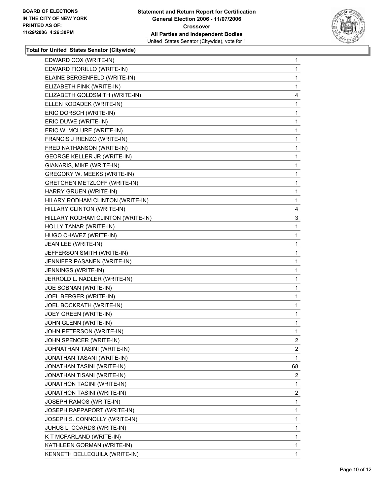

| EDWARD COX (WRITE-IN)               | $\mathbf{1}$            |
|-------------------------------------|-------------------------|
| EDWARD FIORILLO (WRITE-IN)          | 1                       |
| ELAINE BERGENFELD (WRITE-IN)        | 1                       |
| ELIZABETH FINK (WRITE-IN)           | 1                       |
| ELIZABETH GOLDSMITH (WRITE-IN)      | 4                       |
| ELLEN KODADEK (WRITE-IN)            | 1                       |
| ERIC DORSCH (WRITE-IN)              | 1                       |
| ERIC DUWE (WRITE-IN)                | 1                       |
| ERIC W. MCLURE (WRITE-IN)           | 1                       |
| FRANCIS J RIENZO (WRITE-IN)         | 1                       |
| FRED NATHANSON (WRITE-IN)           | 1                       |
| GEORGE KELLER JR (WRITE-IN)         | 1                       |
| GIANARIS, MIKE (WRITE-IN)           | 1                       |
| GREGORY W. MEEKS (WRITE-IN)         | 1                       |
| <b>GRETCHEN METZLOFF (WRITE-IN)</b> | 1                       |
| HARRY GRUEN (WRITE-IN)              | 1                       |
| HILARY RODHAM CLINTON (WRITE-IN)    | 1                       |
| HILLARY CLINTON (WRITE-IN)          | 4                       |
| HILLARY RODHAM CLINTON (WRITE-IN)   | 3                       |
| HOLLY TANAR (WRITE-IN)              | 1                       |
| HUGO CHAVEZ (WRITE-IN)              | 1                       |
| JEAN LEE (WRITE-IN)                 | 1                       |
| JEFFERSON SMITH (WRITE-IN)          | 1                       |
| JENNIFER PASANEN (WRITE-IN)         | 1                       |
| JENNINGS (WRITE-IN)                 | 1                       |
| JERROLD L. NADLER (WRITE-IN)        | 1                       |
| JOE SOBNAN (WRITE-IN)               | 1                       |
| JOEL BERGER (WRITE-IN)              | 1                       |
| JOEL BOCKRATH (WRITE-IN)            | 1                       |
| JOEY GREEN (WRITE-IN)               | 1                       |
| JOHN GLENN (WRITE-IN)               | 1                       |
| JOHN PETERSON (WRITE-IN)            | 1                       |
| JOHN SPENCER (WRITE-IN)             | $\overline{\mathbf{c}}$ |
| JOHNATHAN TASINI (WRITE-IN)         | $\overline{\mathbf{c}}$ |
| JONATHAN TASANI (WRITE-IN)          | $\mathbf{1}$            |
| JONATHAN TASINI (WRITE-IN)          | 68                      |
| JONATHAN TISANI (WRITE-IN)          | $\overline{\mathbf{c}}$ |
| JONATHON TACINI (WRITE-IN)          | 1                       |
| JONATHON TASINI (WRITE-IN)          | $\overline{\mathbf{c}}$ |
| JOSEPH RAMOS (WRITE-IN)             | 1                       |
| JOSEPH RAPPAPORT (WRITE-IN)         | 1                       |
| JOSEPH S. CONNOLLY (WRITE-IN)       | 1                       |
| JUHUS L. COARDS (WRITE-IN)          | 1                       |
| K T MCFARLAND (WRITE-IN)            | 1                       |
| KATHLEEN GORMAN (WRITE-IN)          | 1                       |
| KENNETH DELLEQUILA (WRITE-IN)       | 1                       |
|                                     |                         |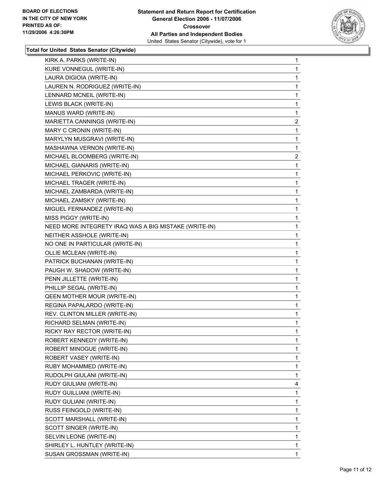

| KIRK A. PARKS (WRITE-IN)                              | $\mathbf 1$             |
|-------------------------------------------------------|-------------------------|
| KURE VONNEGUL (WRITE-IN)                              | 1                       |
| LAURA DIGIOIA (WRITE-IN)                              | 1                       |
| LAUREN N. RODRIGUEZ (WRITE-IN)                        | 1                       |
| LENNARD MCNEIL (WRITE-IN)                             | 1                       |
| LEWIS BLACK (WRITE-IN)                                | 1                       |
| MANUS WARD (WRITE-IN)                                 | $\mathbf 1$             |
| MARIETTA CANNINGS (WRITE-IN)                          | $\overline{\mathbf{c}}$ |
| MARY C CRONIN (WRITE-IN)                              | 1                       |
| MARYLYN MUSGRAVI (WRITE-IN)                           | 1                       |
| MASHAWNA VERNON (WRITE-IN)                            | 1                       |
| MICHAEL BLOOMBERG (WRITE-IN)                          | $\overline{\mathbf{c}}$ |
| MICHAEL GIANARIS (WRITE-IN)                           | $\mathbf 1$             |
| MICHAEL PERKOVIC (WRITE-IN)                           | 1                       |
| MICHAEL TRAGER (WRITE-IN)                             | 1                       |
| MICHAEL ZAMBARDA (WRITE-IN)                           | 1                       |
| MICHAEL ZAMSKY (WRITE-IN)                             | 1                       |
| MIGUEL FERNANDEZ (WRITE-IN)                           | 1                       |
| MISS PIGGY (WRITE-IN)                                 | 1                       |
| NEED MORE INTEGRETY IRAQ WAS A BIG MISTAKE (WRITE-IN) | 1                       |
| NEITHER ASSHOLE (WRITE-IN)                            | 1                       |
| NO ONE IN PARTICULAR (WRITE-IN)                       | 1                       |
| OLLIE MCLEAN (WRITE-IN)                               | 1                       |
| PATRICK BUCHANAN (WRITE-IN)                           | 1                       |
| PAUGH W. SHADOW (WRITE-IN)                            | 1                       |
| PENN JILLETTE (WRITE-IN)                              | 1                       |
| PHILLIP SEGAL (WRITE-IN)                              | 1                       |
| <b>QEEN MOTHER MOUR (WRITE-IN)</b>                    | 1                       |
| REGINA PAPALARDO (WRITE-IN)                           | 1                       |
| REV. CLINTON MILLER (WRITE-IN)                        | 1                       |
| RICHARD SELMAN (WRITE-IN)                             | 1                       |
| RICKY RAY RECTOR (WRITE-IN)                           | 1                       |
| ROBERT KENNEDY (WRITE-IN)                             | 1                       |
| ROBERT MINOGUE (WRITE-IN)                             | 1                       |
| ROBERT VASEY (WRITE-IN)                               | 1                       |
| RUBY MOHAMMED (WRITE-IN)                              | 1                       |
| RUDOLPH GIULANI (WRITE-IN)                            | 1                       |
| RUDY GIULIANI (WRITE-IN)                              | 4                       |
| RUDY GUILLIANI (WRITE-IN)                             | 1                       |
| RUDY GULIANI (WRITE-IN)                               | 1                       |
| RUSS FEINGOLD (WRITE-IN)                              | 1                       |
| SCOTT MARSHALL (WRITE-IN)                             | 1                       |
| SCOTT SINGER (WRITE-IN)                               | 1                       |
| SELVIN LEONE (WRITE-IN)                               | 1                       |
| SHIRLEY L. HUNTLEY (WRITE-IN)                         | 1                       |
| SUSAN GROSSMAN (WRITE-IN)                             | 1                       |
|                                                       |                         |